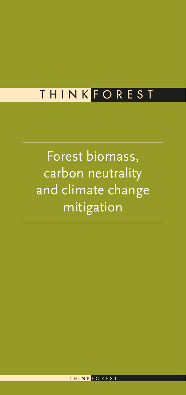# T H I N K F O R E S T

Forest biomass, carbon neutrality and climate change mitigation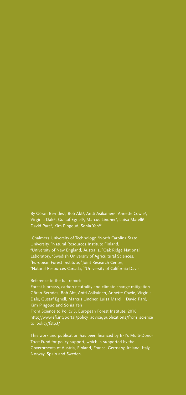By Göran Berndes<sup>1</sup>, Bob Abt<sup>2</sup>, Antti Asikainen<sup>3</sup>, Annette Cowie<sup>4</sup>, Virginia Dale<sup>5</sup>, Gustaf Egnell<sup>6</sup>, Marcus Lindner<sup>7</sup>, Luisa Marelli<sup>8</sup>, David Paré<sup>9</sup>, Kim Pingoud, Sonia Yeh<sup>10</sup>

<sup>1</sup>Chalmers University of Technology, <sup>2</sup>North Carolina State University, 3 Natural Resources Institute Finland, 4 University of New England, Australia, 5 Oak Ridge National Laboratory, <sup>6</sup>Swedish University of Agricultural Sciences, <sup>7</sup>European Forest Institute, <sup>8</sup>Joint Research Centre, 9 Natural Resources Canada, 10University of California-Davis.

### Reference to the full report:

Forest biomass, carbon neutrality and climate change mitigation Göran Berndes, Bob Abt, Antti Asikainen, Annette Cowie, Virginia Dale, Gustaf Egnell, Marcus Lindner, Luisa Marelli, David Paré, Kim Pingoud and Sonia Yeh From Science to Policy 3, European Forest Institute, 2016

[http://www.efi.int/portal/policy\\_advice/publications/from\\_science\\_](http://www.efi.int/portal/policy_advice/publications/from_science_to_policy/fstp3/ ) [to\\_policy/fstp3/](http://www.efi.int/portal/policy_advice/publications/from_science_to_policy/fstp3/ ) 

This work and publication has been financed by EFI's Multi-Donor Trust Fund for policy support, which is supported by the Governments of Austria, Finland, France, Germany, Ireland, Italy, Norway, Spain and Sweden.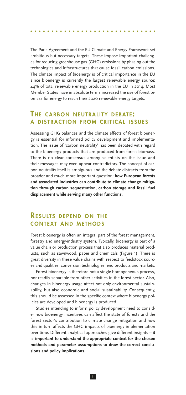The Paris Agreement and the EU Climate and Energy Framework set ambitious but necessary targets. These impose important challenges for reducing greenhouse gas (GHG) emissions by phasing out the technologies and infrastructures that cause fossil carbon emissions. The climate impact of bioenergy is of critical importance in the EU since bioenergy is currently the largest renewable energy source: 44% of total renewable energy production in the EU in 2014. Most Member States have in absolute terms increased the use of forest biomass for energy to reach their 2020 renewable energy targets.

# THE CARBON NEUTRALITY DEBATE: A DISTRACTION FROM CRITICAL ISSUES

Assessing GHG balances and the climate effects of forest bioenergy is essential for informed policy development and implementation. The issue of 'carbon neutrality' has been debated with regard to the bioenergy products that are produced from forest biomass. There is no clear consensus among scientists on the issue and their messages may even appear contradictory. The concept of carbon neutrality itself is ambiguous and the debate distracts from the broader and much more important question: **how European forests and associated industries can contribute to climate change mitigation through carbon sequestration, carbon storage and fossil fuel displacement while serving many other functions.**

# **RESULTS DEPEND ON THE CONTEXT AND METHODS**

Forest bioenergy is often an integral part of the forest management, forestry and energy-industry system. Typically, bioenergy is part of a value chain or production process that also produces material products, such as sawnwood, paper and chemicals (Figure 1). There is great diversity in these value chains with respect to feedstock sources and qualities, conversion technologies, end products and markets.

Forest bioenergy is therefore not a single homogeneous process, nor readily separable from other activities in the forest sector. Also, changes in bioenergy usage affect not only environmental sustainability, but also economic and social sustainability. Consequently, this should be assessed in the specific context where bioenergy policies are developed and bioenergy is produced.

Studies intending to inform policy development need to consider how bioenergy incentives can affect the state of forests and the forest sector's contribution to climate change mitigation and how this in turn affects the GHG impacts of bioenergy implementation over time. Different analytical approaches give different insights – **it is important to understand the appropriate context for the chosen methods and parameter assumptions to draw the correct conclusions and policy implications.**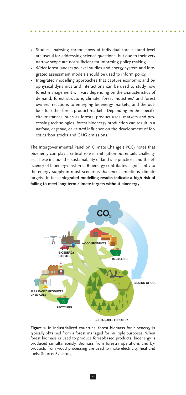- Studies analysing carbon flows at individual forest stand level are useful for addressing science questions, but due to their very narrow scope are not sufficient for informing policy making.
- Wider forest landscape-level studies and energy system and integrated assessment models should be used to inform policy.
- Integrated modelling approaches that capture economic and biophysical dynamics and interactions can be used to study how forest management will vary depending on the characteristics of demand, forest structure, climate, forest industries' and forest owners' reactions to emerging bioenergy markets, and the outlook for other forest product markets. Depending on the specific circumstances, such as forests, product uses, markets and processing technologies, forest bioenergy production can result in a *positive*, *negative*, or *neutral* influence on the development of forest carbon stocks and GHG emissions.

The Intergovernmental Panel on Climate Change (IPCC) notes that bioenergy can play a critical role in mitigation but entails challenges. These include the sustainability of land use practices and the efficiency of bioenergy systems. Bioenergy contributes significantly to the energy supply in most scenarios that meet ambitious climate targets. In fact, **integrated modelling results indicate a high risk of failing to meet long-term climate targets without bioenergy**.



**SUSTAINABLE FORESTRY**

**Figure 1.** In industrialized countries, forest biomass for bioenergy is typically obtained from a forest managed for multiple purposes. When forest biomass is used to produce forest-based products, bioenergy is produced simultaneously. Biomass from forestry operations and byproducts from wood processing are used to make electricity, heat and fuels. Source: Sveaskog.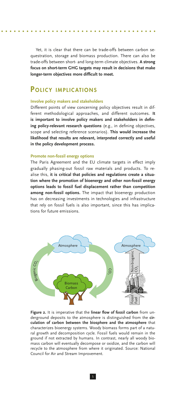Yet, it is clear that there can be trade-offs between carbon sequestration, storage and biomass production. There can also be trade-offs between short- and long-term climate objectives. **A strong focus on short-term GHG targets may result in decisions that make longer-term objectives more difficult to meet.**

# POLICY IMPLICATIONS

#### **Involve policy makers and stakeholders**

Different points of view concerning policy objectives result in different methodological approaches, and different outcomes. **It is important to involve policy makers and stakeholders in defining policy-relevant research questions** (e.g., in defining objectives, scope and selecting reference scenarios). **This would increase the likelihood that results are relevant, interpreted correctly and useful in the policy development process.**

#### **Promote non-fossil energy options**

The Paris Agreement and the EU climate targets in effect imply gradually phasing-out fossil raw materials and products. To realise this, **it is critical that policies and regulations create a situation where the promotion of bioenergy and other non-fossil energy options leads to fossil fuel displacement rather than competition among non-fossil options.** The impact that bioenergy production has on decreasing investments in technologies and infrastructure that rely on fossil fuels is also important, since this has implications for future emissions.



**Figure 2.** It is imperative that the **linear flow of fossil carbon** from underground deposits to the atmosphere is distinguished from the **circulation of carbon between the biosphere and the atmosphere** that characterizes bioenergy systems. Woody biomass forms part of a natural growth and decomposition cycle. Fossil fuels would remain in the ground if not extracted by humans. In contrast, nearly all woody biomass carbon will eventually decompose or oxidize, and the carbon will recycle to the atmosphere from where it originated. Source: National Council for Air and Stream Improvement.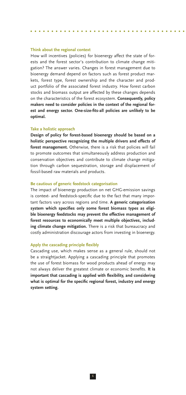#### **Think about the regional context**

How will incentives (policies) for bioenergy affect the state of forests and the forest sector's contribution to climate change mitigation? The answer varies. Changes in forest management due to bioenergy demand depend on factors such as forest product markets, forest type, forest ownership and the character and product portfolio of the associated forest industry. How forest carbon stocks and biomass output are affected by these changes depends on the characteristics of the forest ecosystem. **Consequently, policy makers need to consider policies in the context of the regional forest and energy sector. One-size-fits-all policies are unlikely to be optimal.** 

#### **Take a holistic approach**

**Design of policy for forest-based bioenergy should be based on a holistic perspective recognizing the multiple drivers and effects of forest management.** Otherwise, there is a risk that policies will fail to promote outcomes that simultaneously address production and conservation objectives and contribute to climate change mitigation through carbon sequestration, storage and displacement of fossil-based raw materials and products.

#### **Be cautious of generic feedstock categorisation**

The impact of bioenergy production on net GHG-emission savings is context- and feedstock-specific due to the fact that many important factors vary across regions and time. **A generic categorisation system which specifies only some forest biomass types as eligible bioenergy feedstocks may prevent the effective management of forest resources to economically meet multiple objectives, including climate change mitigation.** There is a risk that bureaucracy and costly administration discourage actors from investing in bioenergy.

#### **Apply the cascading principle flexibly**

Cascading use, which makes sense as a general rule, should not be a straightjacket. Applying a cascading principle that promotes the use of forest biomass for wood products ahead of energy may not always deliver the greatest climate or economic benefits. **It is important that cascading is applied with flexibility, and considering what is optimal for the specific regional forest, industry and energy system setting.**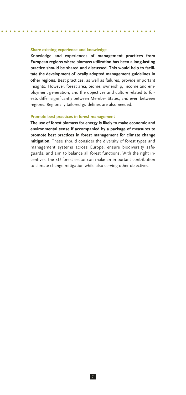#### **Share existing experience and knowledge**

**Knowledge and experiences of management practices from European regions where biomass utilization has been a long-lasting practice should be shared and discussed. This would help to facilitate the development of locally adopted management guidelines in other regions.** Best practices, as well as failures, provide important insights. However, forest area, biome, ownership, income and employment generation, and the objectives and culture related to forests differ significantly between Member States, and even between regions. Regionally tailored guidelines are also needed.

#### **Promote best practices in forest management**

**The use of forest biomass for energy is likely to make economic and environmental sense if accompanied by a package of measures to promote best practices in forest management for climate change mitigation.** These should consider the diversity of forest types and management systems across Europe, ensure biodiversity safeguards, and aim to balance all forest functions. With the right incentives, the EU forest sector can make an important contribution to climate change mitigation while also serving other objectives.